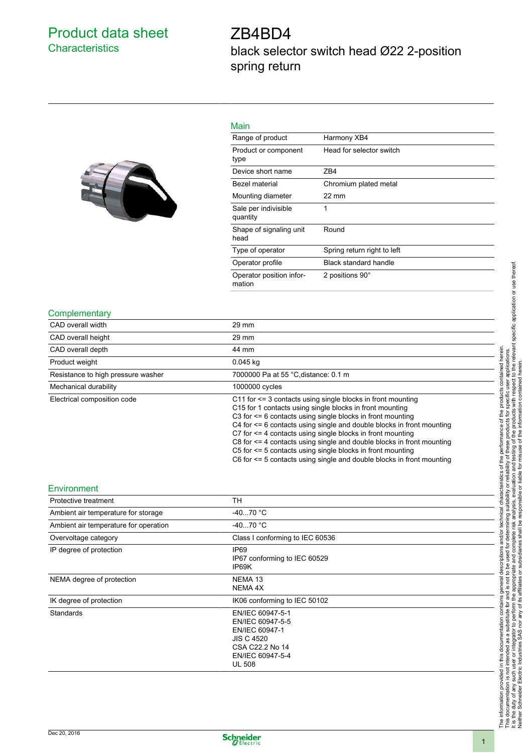## Product data sheet **Characteristics**

# ZB4BD4 black selector switch head Ø22 2-position spring return



| ٠<br>× |
|--------|
|--------|

| 1716.11 1                          |                             |
|------------------------------------|-----------------------------|
| Range of product                   | Harmony XB4                 |
| Product or component<br>type       | Head for selector switch    |
| Device short name                  | ZB4                         |
| Bezel material                     | Chromium plated metal       |
| Mounting diameter                  | $22 \text{ mm}$             |
| Sale per indivisible<br>quantity   | 1                           |
| Shape of signaling unit<br>head    | Round                       |
| Type of operator                   | Spring return right to left |
| Operator profile                   | Black standard handle       |
| Operator position infor-<br>mation | 2 positions 90°             |
|                                    |                             |

#### **Complementary**

| CAD overall width                  | 29 mm                                                                                                                                                                                                                                                                                                                                                                                                                                                                                                                                                                    |
|------------------------------------|--------------------------------------------------------------------------------------------------------------------------------------------------------------------------------------------------------------------------------------------------------------------------------------------------------------------------------------------------------------------------------------------------------------------------------------------------------------------------------------------------------------------------------------------------------------------------|
| CAD overall height                 | $29 \text{ mm}$                                                                                                                                                                                                                                                                                                                                                                                                                                                                                                                                                          |
| CAD overall depth                  | 44 mm                                                                                                                                                                                                                                                                                                                                                                                                                                                                                                                                                                    |
| Product weight                     | $0.045$ kg                                                                                                                                                                                                                                                                                                                                                                                                                                                                                                                                                               |
| Resistance to high pressure washer | 7000000 Pa at 55 °C distance: 0.1 m                                                                                                                                                                                                                                                                                                                                                                                                                                                                                                                                      |
| Mechanical durability              | 1000000 cycles                                                                                                                                                                                                                                                                                                                                                                                                                                                                                                                                                           |
| Electrical composition code        | C11 for $\leq$ 3 contacts using single blocks in front mounting<br>C15 for 1 contacts using single blocks in front mounting<br>C3 for $\leq$ 6 contacts using single blocks in front mounting<br>C4 for <= 6 contacts using single and double blocks in front mounting<br>C7 for $\leq$ 4 contacts using single blocks in front mounting<br>$C8$ for $\leq$ 4 contacts using single and double blocks in front mounting<br>C5 for $\leq$ 5 contacts using single blocks in front mounting<br>$C6$ for $\leq$ 5 contacts using single and double blocks in front mounting |

### Environment

| Protective treatment                  | TН                                                                                                                                  |
|---------------------------------------|-------------------------------------------------------------------------------------------------------------------------------------|
| Ambient air temperature for storage   | $-4070 °C$                                                                                                                          |
| Ambient air temperature for operation | $-4070 °C$                                                                                                                          |
| Overvoltage category                  | Class I conforming to IEC 60536                                                                                                     |
| IP degree of protection               | IP <sub>69</sub><br>IP67 conforming to IEC 60529<br>IP69K                                                                           |
| NEMA degree of protection             | NEMA <sub>13</sub><br>NEMA 4X                                                                                                       |
| IK degree of protection               | IK06 conforming to IEC 50102                                                                                                        |
| Standards                             | EN/IEC 60947-5-1<br>EN/IEC 60947-5-5<br>EN/IEC 60947-1<br><b>JIS C 4520</b><br>CSA C22.2 No 14<br>EN/IEC 60947-5-4<br><b>UL 508</b> |